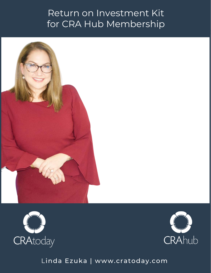# Return on Investment Kit for CRA Hub Membership







L[inda Ezuka | www.cratoday.com](http://www.thetemplatetribe.com/)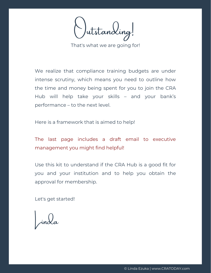Jutstanding!

That's what we are going for!

We realize that compliance training budgets are under intense scrutiny, which means you need to outline how the time and money being spent for you to join the CRA Hub will help take your skills – and your bank's performance – to the next level.

Here is a framework that is aimed to help!

The last page includes a draft email to executive management you might find helpful!

Use this kit to understand if the CRA Hub is a good fit for you and your institution and to help you obtain the approval for membership.

Let's get started!

 $\int$ inda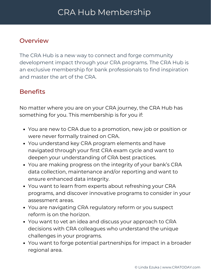### Overview

The CRA Hub is a new way to connect and forge community development impact through your CRA programs. The CRA Hub is an exclusive membership for bank professionals to find inspiration and master the art of the CRA.

### **Benefits**

No matter where you are on your CRA journey, the CRA Hub has something for you. This membership is for you if:

- You are new to CRA due to a promotion, new job or position or were never formally trained on CRA.
- You understand key CRA program elements and have navigated through your first CRA exam cycle and want to deepen your understanding of CRA best practices.
- You are making progress on the integrity of your bank's CRA data collection, maintenance and/or reporting and want to ensure enhanced data integrity.
- You want to learn from experts about refreshing your CRA programs, and discover innovative programs to consider in your assessment areas.
- You are navigating CRA regulatory reform or you suspect reform is on the horizon.
- You want to vet an idea and discuss your approach to CRA decisions with CRA colleagues who understand the unique challenges in your programs.
- You want to forge potential partnerships for impact in a broader regional area.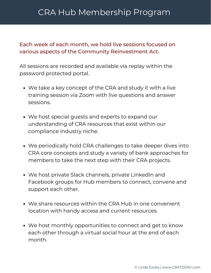# CRA Hub Membership Program

#### Each week of each month, we hold live sessions focused on various aspects of the Community Reinvestment Act.

All sessions are recorded and available via replay within the password protected portal.

- We take a key concept of the CRA and study it with a live training session via Zoom with live questions and answer sessions.
- We host special guests and experts to expand our understanding of CRA resources that exist within our compliance industry niche.
- We periodically hold CRA challenges to take deeper dives into CRA core concepts and study a variety of bank approaches for members to take the next step with their CRA projects.
- We host private Slack channels, private LinkedIn and Facebook groups for Hub members to connect, convene and support each other.
- We share resources within the CRA Hub in one convenient location with handy access and current resources.
- We host monthly opportunities to connect and get to know each other through a virtual social hour at the end of each month.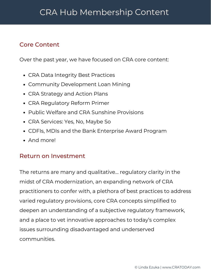### Core Content

Over the past year, we have focused on CRA core content:

- CRA Data Integrity Best Practices
- Community Development Loan Mining
- CRA Strategy and Action Plans
- CRA Regulatory Reform Primer
- Public Welfare and CRA Sunshine Provisions
- CRA Services: Yes, No, Maybe So
- CDFIs, MDIs and the Bank Enterprise Award Program
- And morel

#### Return on Investment

The returns are many and qualitative… regulatory clarity in the midst of CRA modernization, an expanding network of CRA practitioners to confer with, a plethora of best practices to address varied regulatory provisions, core CRA concepts simplified to deepen an understanding of a subjective regulatory framework, and a place to vet innovative approaches to today's complex issues surrounding disadvantaged and underserved communities.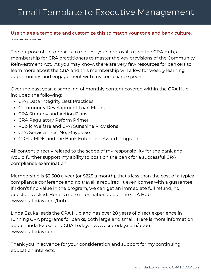# Email Template to Executive Management

#### Use this as a template and customize this to match your tone and bank culture.  $\sim$   $\sim$   $\sim$   $\sim$   $\sim$   $\sim$   $\sim$   $\sim$

The purpose of this email is to request your approval to join the CRA Hub, a membership for CRA practitioners to master the key provisions of the Community Reinvestment Act. As you may know, there are very few resources for bankers to learn more about the CRA and this membership will allow for weekly learning opportunities and engagement with my compliance peers.

Over the past year, a sampling of monthly content covered within the CRA Hub included the following:

- CRA Data Integrity Best Practices
- Community Development Loan Mining
- CRA Strategy and Action Plans
- CRA Regulatory Reform Primer
- Public Welfare and CRA Sunshine Provisions
- CRA Services: Yes, No, Maybe So
- CDFIs, MDIs and the Bank Enterprise Award Program

All content directly related to the scope of my responsibility for the bank and would further support my ability to position the bank for a successful CRA compliance examination.

Membership is \$2,500 a year (or \$225 a month), that's less than the cost of a typical compliance conference and no travel is required. It even comes with a guarantee; if I don't find value in the program, we can get an immediate full refund, no questions asked. Here is more information about the CRA Hub: www.cratoday.com/hub

Linda Ezuka leads the CRA Hub and has over 28 years of direct experience in running CRA programs for banks, both large and small. Here is more information about Linda Ezuka and CRA Today. www.cratoday.com/about www.cratoday.com

Thank you in advance for your consideration and support for my continuing education interests.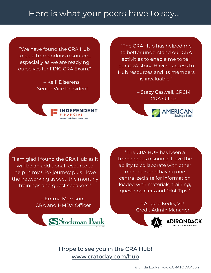## Here is what your peers have to say...

"We have found the CRA Hub to be a tremendous resource… especially as we are readying ourselves for FDIC CRA Exam."

> – Kelli Diserens, Senior Vice President



"The CRA Hub has helped me to better understand our CRA activities to enable me to tell our CRA story. Having access to Hub resources and its members is invaluable!"

> – Stacy Caswell, CRCM CRA Officer



"I am glad I found the CRA Hub as it will be an additional resource to help in my CRA journey plus I love the networking aspect, the monthly trainings and guest speakers."

> – Emma Morrison, CRA and HMDA Officer



"The CRA HUB has been a tremendous resource! I love the ability to collaborate with other members and having one centralized site for information loaded with materials, training, guest speakers and "Hot Tips."

> – Angela Kedik, VP Credit Admin Manager



[I hope to see you in the CRA Hub!](http://www.cratoday.com/Hub) [www.cratoday.com/hub](http://www.cratoday.com/hub)